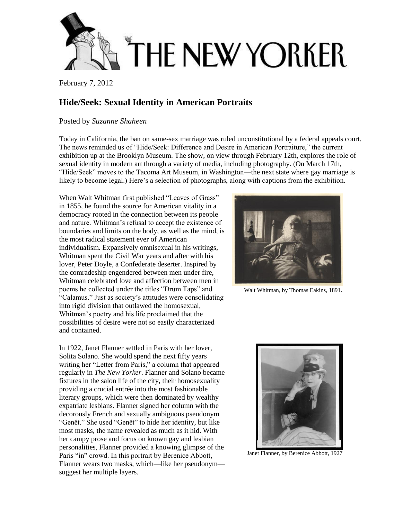

February 7, 2012

## **Hide/Seek: Sexual Identity in American Portraits**

Posted by *[Suzanne Shaheen](http://www.newyorker.com/magazine/bios/suzanne_shaheen/search?contributorName=Suzanne%20Shaheen)*

Today in California, the ban on same-sex marriage was ruled unconstitutional by a federal appeals court. The news reminded us of "Hide/Seek: Difference and Desire in American Portraiture," the current exhibition up at the [Brooklyn Museum.](http://www.brooklynmuseum.org/exhibitions/hide_seek/) The show, on view through February 12th, explores the role of sexual identity in modern art through a variety of media, including photography. (On March 17th, "Hide/Seek" moves to the [Tacoma Art Museum,](https://www.tacomaartmuseum.org/Page.aspx?nid=398) in Washington—the next state where gay marriage is likely to become legal.) Here's a selection of photographs, along with captions from the exhibition.

When Walt Whitman first published "Leaves of Grass" in 1855, he found the source for American vitality in a democracy rooted in the connection between its people and nature. Whitman's refusal to accept the existence of boundaries and limits on the body, as well as the mind, is the most radical statement ever of American individualism. Expansively omnisexual in his writings, Whitman spent the Civil War years and after with his lover, Peter Doyle, a Confederate deserter. Inspired by the comradeship engendered between men under fire, Whitman celebrated love and affection between men in poems he collected under the titles "Drum Taps" and "Calamus." Just as society's attitudes were consolidating into rigid division that outlawed the homosexual, Whitman's poetry and his life proclaimed that the possibilities of desire were not so easily characterized and contained.

In 1922, Janet Flanner settled in Paris with her lover, Solita Solano. She would spend the next fifty years writing her "Letter from Paris," a column that appeared regularly in *The New Yorker*. Flanner and Solano became fixtures in the salon life of the city, their homosexuality providing a crucial entrée into the most fashionable literary groups, which were then dominated by wealthy expatriate lesbians. Flanner signed her column with the decorously French and sexually ambiguous pseudonym "Genêt." She used "Genêt" to hide her identity, but like most masks, the name revealed as much as it hid. With her campy prose and focus on known gay and lesbian personalities, Flanner provided a knowing glimpse of the Paris "in" crowd. In this portrait by Berenice Abbott, Flanner wears two masks, which—like her pseudonym suggest her multiple layers.



Walt Whitman, by Thomas Eakins, 1891.



Janet Flanner, by Berenice Abbott, 1927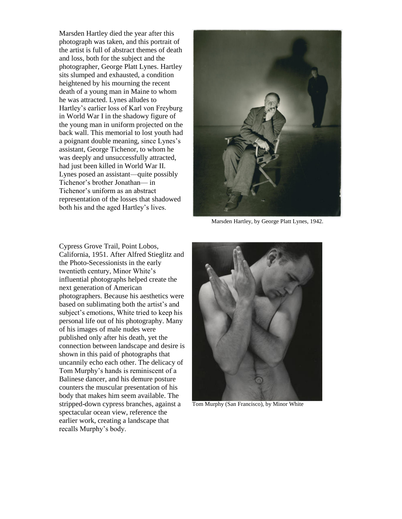Marsden Hartley died the year after this photograph was taken, and this portrait of the artist is full of abstract themes of death and loss, both for the subject and the photographer, George Platt Lynes. Hartley sits slumped and exhausted, a condition heightened by his mourning the recent death of a young man in Maine to whom he was attracted. Lynes alludes to Hartley's earlier loss of Karl von Freyburg in World War I in the shadowy figure of the young man in uniform projected on the back wall. This memorial to lost youth had a poignant double meaning, since Lynes's assistant, George Tichenor, to whom he was deeply and unsuccessfully attracted, had just been killed in World War II. Lynes posed an assistant—quite possibly Tichenor's brother Jonathan— in Tichenor's uniform as an abstract representation of the losses that shadowed both his and the aged Hartley's lives.



Marsden Hartley, by George Platt Lynes, 1942.

Cypress Grove Trail, Point Lobos, California, 1951. After Alfred Stieglitz and the Photo-Secessionists in the early twentieth century, Minor White's influential photographs helped create the next generation of American photographers. Because his aesthetics were based on sublimating both the artist's and subject's emotions, White tried to keep his personal life out of his photography. Many of his images of male nudes were published only after his death, yet the connection between landscape and desire is shown in this paid of photographs that uncannily echo each other. The delicacy of Tom Murphy's hands is reminiscent of a Balinese dancer, and his demure posture counters the muscular presentation of his body that makes him seem available. The stripped-down cypress branches, against a spectacular ocean view, reference the earlier work, creating a landscape that recalls Murphy's body.



Tom Murphy (San Francisco), by Minor White